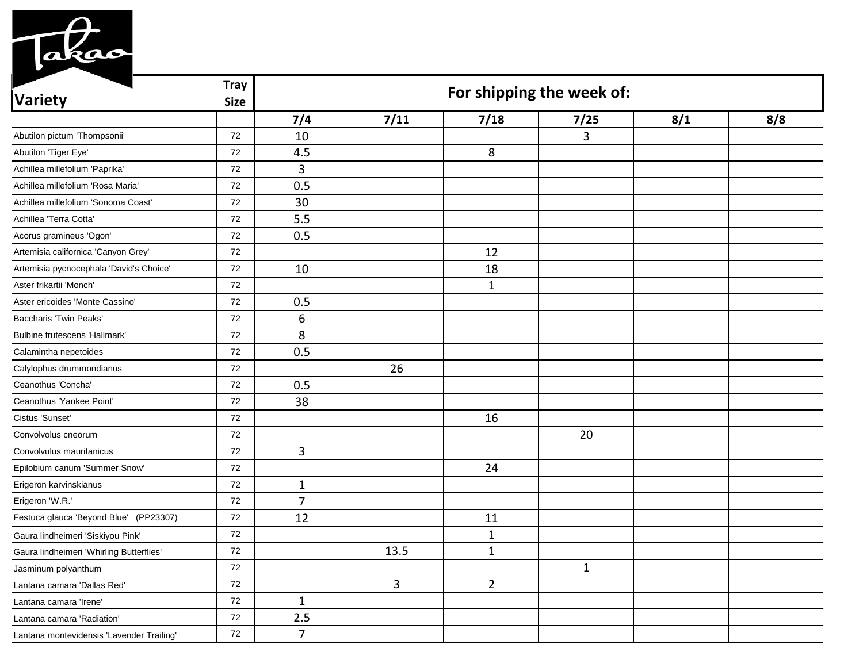

| <b>Variety</b>                            | <b>Tray</b><br><b>Size</b> | For shipping the week of: |      |                |      |     |     |  |
|-------------------------------------------|----------------------------|---------------------------|------|----------------|------|-----|-----|--|
|                                           |                            | 7/4                       | 7/11 | 7/18           | 7/25 | 8/1 | 8/8 |  |
| Abutilon pictum 'Thompsonii'              | 72                         | 10                        |      |                | 3    |     |     |  |
| Abutilon 'Tiger Eye'                      | 72                         | 4.5                       |      | 8              |      |     |     |  |
| Achillea millefolium 'Paprika'            | 72                         | $\mathbf{3}$              |      |                |      |     |     |  |
| Achillea millefolium 'Rosa Maria'         | 72                         | 0.5                       |      |                |      |     |     |  |
| Achillea millefolium 'Sonoma Coast'       | 72                         | 30                        |      |                |      |     |     |  |
| Achillea 'Terra Cotta'                    | 72                         | 5.5                       |      |                |      |     |     |  |
| Acorus gramineus 'Ogon'                   | 72                         | 0.5                       |      |                |      |     |     |  |
| Artemisia californica 'Canyon Grey'       | 72                         |                           |      | 12             |      |     |     |  |
| Artemisia pycnocephala 'David's Choice'   | 72                         | 10                        |      | 18             |      |     |     |  |
| Aster frikartii 'Monch'                   | 72                         |                           |      | $\mathbf{1}$   |      |     |     |  |
| Aster ericoides 'Monte Cassino'           | 72                         | 0.5                       |      |                |      |     |     |  |
| Baccharis 'Twin Peaks'                    | 72                         | 6                         |      |                |      |     |     |  |
| Bulbine frutescens 'Hallmark'             | 72                         | 8                         |      |                |      |     |     |  |
| Calamintha nepetoides                     | 72                         | 0.5                       |      |                |      |     |     |  |
| Calylophus drummondianus                  | 72                         |                           | 26   |                |      |     |     |  |
| Ceanothus 'Concha'                        | 72                         | 0.5                       |      |                |      |     |     |  |
| Ceanothus 'Yankee Point'                  | 72                         | 38                        |      |                |      |     |     |  |
| Cistus 'Sunset'                           | 72                         |                           |      | 16             |      |     |     |  |
| Convolvolus cneorum                       | 72                         |                           |      |                | 20   |     |     |  |
| Convolvulus mauritanicus                  | 72                         | 3                         |      |                |      |     |     |  |
| Epilobium canum 'Summer Snow'             | 72                         |                           |      | 24             |      |     |     |  |
| Erigeron karvinskianus                    | 72                         | $\mathbf{1}$              |      |                |      |     |     |  |
| Erigeron 'W.R.'                           | 72                         | $\overline{7}$            |      |                |      |     |     |  |
| Festuca glauca 'Beyond Blue' (PP23307)    | 72                         | 12                        |      | 11             |      |     |     |  |
| Gaura lindheimeri 'Siskiyou Pink'         | 72                         |                           |      | $\mathbf{1}$   |      |     |     |  |
| Gaura lindheimeri 'Whirling Butterflies'  | 72                         |                           | 13.5 | $\mathbf{1}$   |      |     |     |  |
| Jasminum polyanthum                       | 72                         |                           |      |                | 1    |     |     |  |
| Lantana camara 'Dallas Red'               | 72                         |                           | 3    | $\overline{2}$ |      |     |     |  |
| Lantana camara 'Irene'                    | 72                         | 1                         |      |                |      |     |     |  |
| Lantana camara 'Radiation'                | 72                         | 2.5                       |      |                |      |     |     |  |
| Lantana montevidensis 'Lavender Trailing' | 72                         | $\overline{7}$            |      |                |      |     |     |  |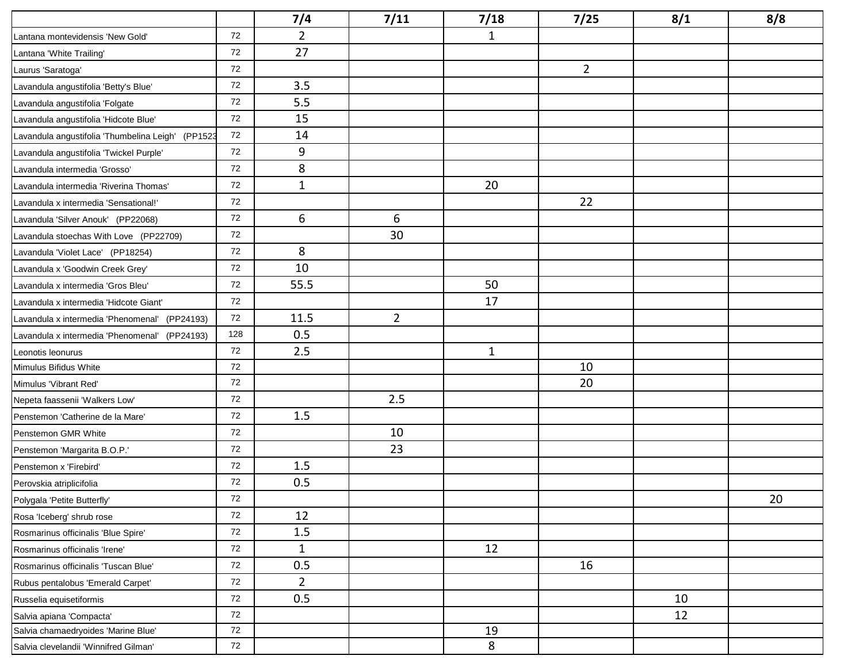|                                                   |     | 7/4            | 7/11           | 7/18         | 7/25           | 8/1 | 8/8 |
|---------------------------------------------------|-----|----------------|----------------|--------------|----------------|-----|-----|
| Lantana montevidensis 'New Gold'                  | 72  | $\overline{2}$ |                | $\mathbf{1}$ |                |     |     |
| Lantana 'White Trailing'                          | 72  | 27             |                |              |                |     |     |
| Laurus 'Saratoga'                                 | 72  |                |                |              | $\overline{2}$ |     |     |
| Lavandula angustifolia 'Betty's Blue'             | 72  | 3.5            |                |              |                |     |     |
| Lavandula angustifolia 'Folgate                   | 72  | 5.5            |                |              |                |     |     |
| Lavandula angustifolia 'Hidcote Blue'             | 72  | 15             |                |              |                |     |     |
| Lavandula angustifolia 'Thumbelina Leigh' (PP1523 | 72  | 14             |                |              |                |     |     |
| Lavandula angustifolia 'Twickel Purple'           | 72  | 9              |                |              |                |     |     |
| Lavandula intermedia 'Grosso'                     | 72  | 8              |                |              |                |     |     |
| Lavandula intermedia 'Riverina Thomas'            | 72  | $\mathbf{1}$   |                | 20           |                |     |     |
| Lavandula x intermedia 'Sensational!'             | 72  |                |                |              | 22             |     |     |
| Lavandula 'Silver Anouk' (PP22068)                | 72  | 6              | 6              |              |                |     |     |
| Lavandula stoechas With Love (PP22709)            | 72  |                | 30             |              |                |     |     |
| Lavandula 'Violet Lace' (PP18254)                 | 72  | 8              |                |              |                |     |     |
| Lavandula x 'Goodwin Creek Grey'                  | 72  | 10             |                |              |                |     |     |
| Lavandula x intermedia 'Gros Bleu'                | 72  | 55.5           |                | 50           |                |     |     |
| Lavandula x intermedia 'Hidcote Giant'            | 72  |                |                | 17           |                |     |     |
| Lavandula x intermedia 'Phenomenal' (PP24193)     | 72  | 11.5           | $\overline{2}$ |              |                |     |     |
| Lavandula x intermedia 'Phenomenal' (PP24193)     | 128 | 0.5            |                |              |                |     |     |
| Leonotis leonurus                                 | 72  | 2.5            |                | $\mathbf{1}$ |                |     |     |
| Mimulus Bifidus White                             | 72  |                |                |              | 10             |     |     |
| Mimulus 'Vibrant Red'                             | 72  |                |                |              | 20             |     |     |
| Nepeta faassenii 'Walkers Low'                    | 72  |                | 2.5            |              |                |     |     |
| Penstemon 'Catherine de la Mare'                  | 72  | 1.5            |                |              |                |     |     |
| Penstemon GMR White                               | 72  |                | 10             |              |                |     |     |
| Penstemon 'Margarita B.O.P.'                      | 72  |                | 23             |              |                |     |     |
| Penstemon x 'Firebird'                            | 72  | 1.5            |                |              |                |     |     |
| Perovskia atriplicifolia                          | 72  | 0.5            |                |              |                |     |     |
| Polygala 'Petite Butterfly'                       | 72  |                |                |              |                |     | 20  |
| Rosa 'Iceberg' shrub rose                         | 72  | 12             |                |              |                |     |     |
| Rosmarinus officinalis 'Blue Spire'               | 72  | 1.5            |                |              |                |     |     |
| Rosmarinus officinalis 'Irene'                    | 72  | $\mathbf{1}$   |                | 12           |                |     |     |
| Rosmarinus officinalis 'Tuscan Blue'              | 72  | 0.5            |                |              | 16             |     |     |
| Rubus pentalobus 'Emerald Carpet'                 | 72  | $2^{\circ}$    |                |              |                |     |     |
| Russelia equisetiformis                           | 72  | 0.5            |                |              |                | 10  |     |
| Salvia apiana 'Compacta'                          | 72  |                |                |              |                | 12  |     |
| Salvia chamaedryoides 'Marine Blue'               | 72  |                |                | 19           |                |     |     |
| Salvia clevelandii 'Winnifred Gilman'             | 72  |                |                | 8            |                |     |     |